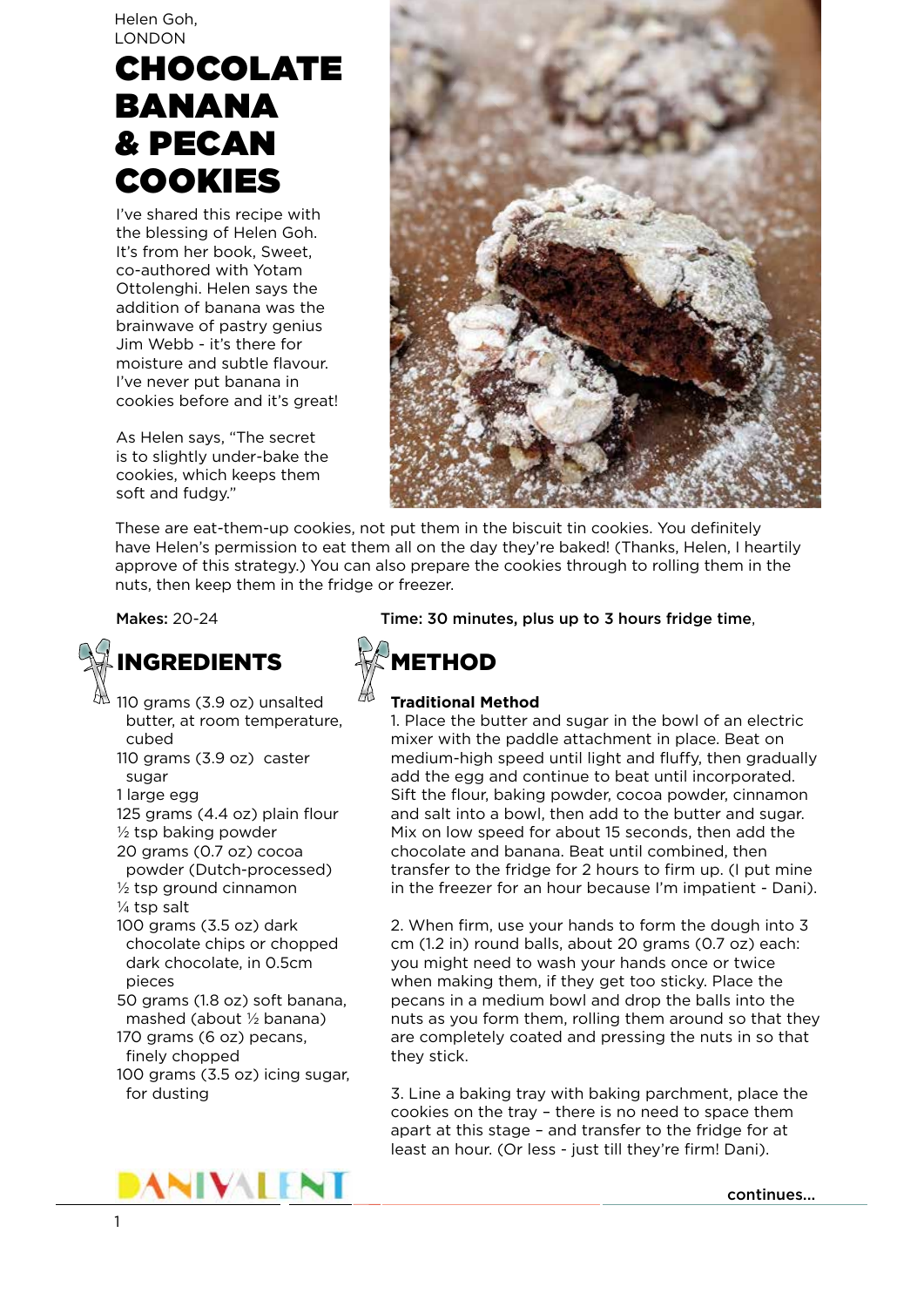Helen Goh, LONDON

# CHOCOLATE BANANA & PECAN COOKIES

I've shared this recipe with the blessing of Helen Goh. It's from her book, Sweet, co-authored with Yotam Ottolenghi. Helen says the addition of banana was the brainwave of pastry genius Jim Webb - it's there for moisture and subtle flavour. I've never put banana in cookies before and it's great!

As Helen says, "The secret is to slightly under-bake the cookies, which keeps them soft and fudgy."



These are eat-them-up cookies, not put them in the biscuit tin cookies. You definitely have Helen's permission to eat them all on the day they're baked! (Thanks, Helen, I heartily approve of this strategy.) You can also prepare the cookies through to rolling them in the nuts, then keep them in the fridge or freezer.

# INGREDIENTS

 $^{\text{th}}$  110 grams (3.9 oz) unsalted butter, at room temperature, cubed

110 grams (3.9 oz) caster sugar

1 large egg

- 125 grams (4.4 oz) plain flour
- ½ tsp baking powder 20 grams (0.7 oz) cocoa
- powder (Dutch-processed)  $\frac{1}{2}$  tsp ground cinnamon
- ¼ tsp salt
- 100 grams (3.5 oz) dark chocolate chips or chopped dark chocolate, in 0.5cm pieces

50 grams (1.8 oz) soft banana, mashed (about ½ banana)

- 170 grams (6 oz) pecans, finely chopped
- 100 grams (3.5 oz) icing sugar, for dusting



Makes: 20-24 Time: 30 minutes, plus up to 3 hours fridge time,



## **Traditional Method**

1. Place the butter and sugar in the bowl of an electric mixer with the paddle attachment in place. Beat on medium-high speed until light and fluffy, then gradually add the egg and continue to beat until incorporated. Sift the flour, baking powder, cocoa powder, cinnamon and salt into a bowl, then add to the butter and sugar. Mix on low speed for about 15 seconds, then add the chocolate and banana. Beat until combined, then transfer to the fridge for 2 hours to firm up. (I put mine in the freezer for an hour because I'm impatient - Dani).

2. When firm, use your hands to form the dough into 3 cm (1.2 in) round balls, about 20 grams (0.7 oz) each: you might need to wash your hands once or twice when making them, if they get too sticky. Place the pecans in a medium bowl and drop the balls into the nuts as you form them, rolling them around so that they are completely coated and pressing the nuts in so that they stick.

3. Line a baking tray with baking parchment, place the cookies on the tray – there is no need to space them apart at this stage – and transfer to the fridge for at least an hour. (Or less - just till they're firm! Dani).

continues...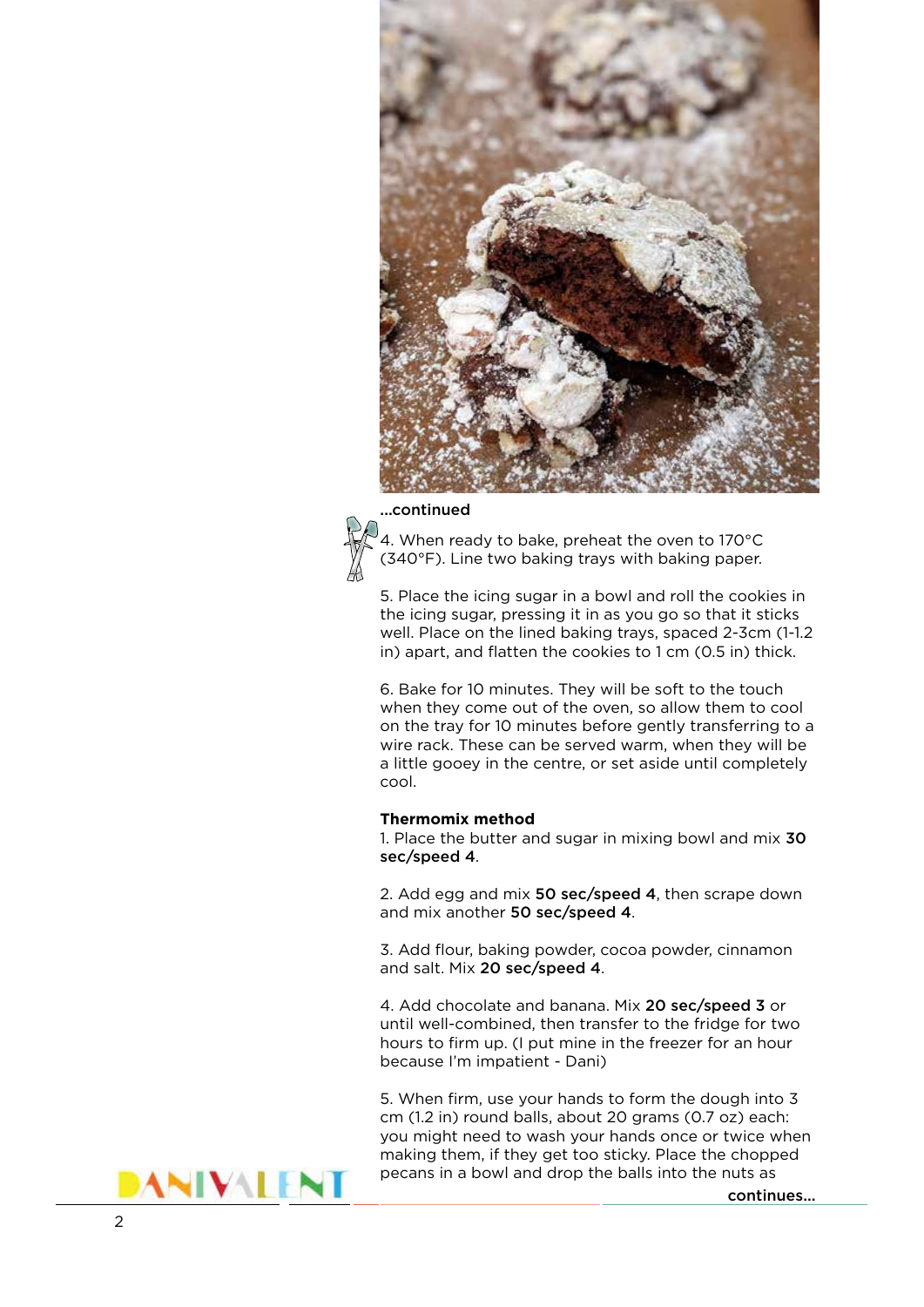

#### ...continued



4. When ready to bake, preheat the oven to 170°C (340°F). Line two baking trays with baking paper.

5. Place the icing sugar in a bowl and roll the cookies in the icing sugar, pressing it in as you go so that it sticks well. Place on the lined baking trays, spaced 2-3cm (1-1.2 in) apart, and flatten the cookies to 1 cm (0.5 in) thick.

6. Bake for 10 minutes. They will be soft to the touch when they come out of the oven, so allow them to cool on the tray for 10 minutes before gently transferring to a wire rack. These can be served warm, when they will be a little gooey in the centre, or set aside until completely cool.

#### **Thermomix method**

1. Place the butter and sugar in mixing bowl and mix 30 sec/speed 4.

2. Add egg and mix 50 sec/speed 4, then scrape down and mix another 50 sec/speed 4.

3. Add flour, baking powder, cocoa powder, cinnamon and salt. Mix 20 sec/speed 4.

4. Add chocolate and banana. Mix 20 sec/speed 3 or until well-combined, then transfer to the fridge for two hours to firm up. (I put mine in the freezer for an hour because I'm impatient - Dani)

5. When firm, use your hands to form the dough into 3 cm (1.2 in) round balls, about 20 grams (0.7 oz) each: you might need to wash your hands once or twice when making them, if they get too sticky. Place the chopped pecans in a bowl and drop the balls into the nuts as

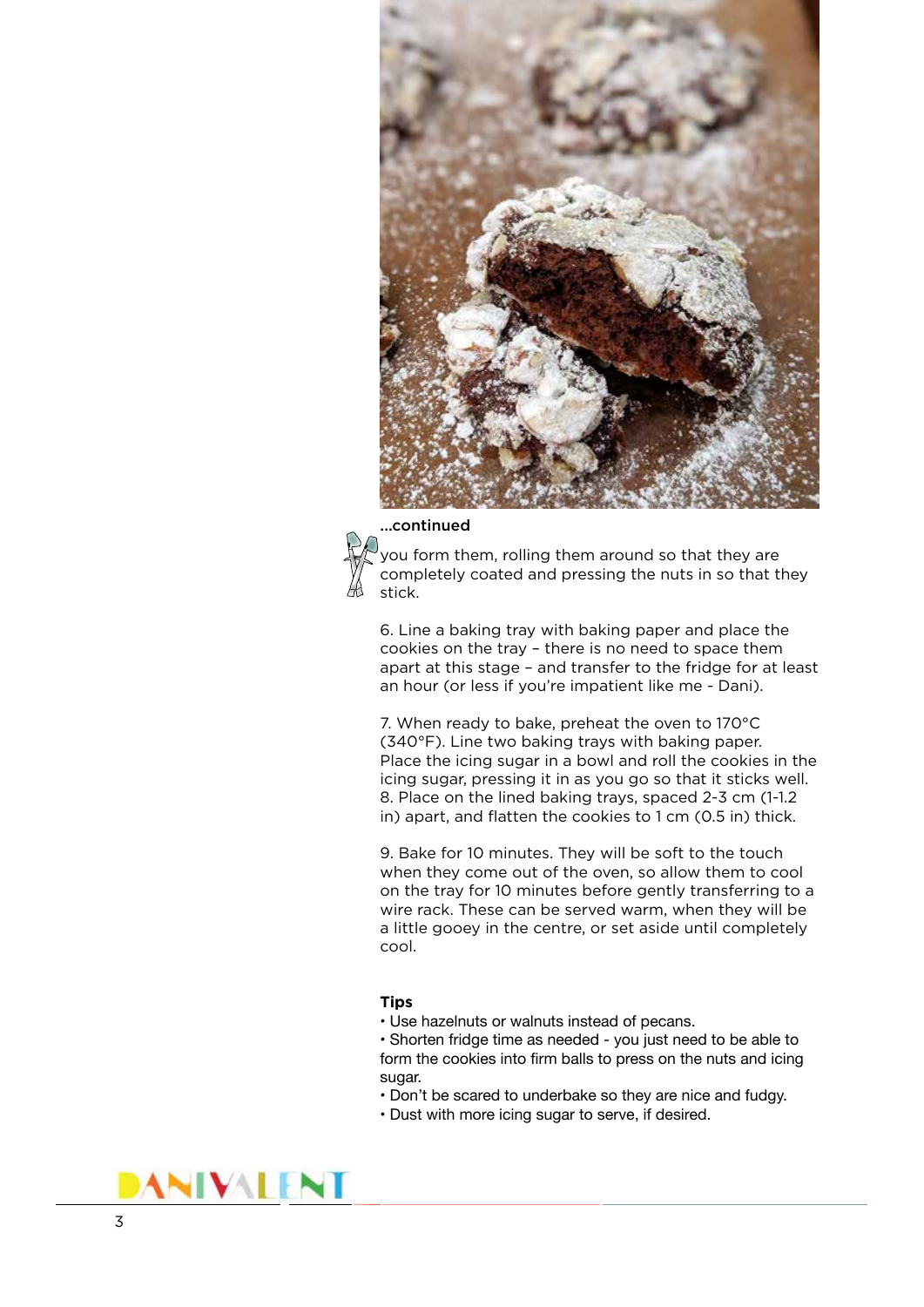

### ...continued



you form them, rolling them around so that they are completely coated and pressing the nuts in so that they stick.

6. Line a baking tray with baking paper and place the cookies on the tray – there is no need to space them apart at this stage – and transfer to the fridge for at least an hour (or less if you're impatient like me - Dani).

7. When ready to bake, preheat the oven to 170°C (340°F). Line two baking trays with baking paper. Place the icing sugar in a bowl and roll the cookies in the icing sugar, pressing it in as you go so that it sticks well. 8. Place on the lined baking trays, spaced 2-3 cm (1-1.2 in) apart, and flatten the cookies to 1 cm (0.5 in) thick.

9. Bake for 10 minutes. They will be soft to the touch when they come out of the oven, so allow them to cool on the tray for 10 minutes before gently transferring to a wire rack. These can be served warm, when they will be a little gooey in the centre, or set aside until completely cool.

#### **Tips**

• Use hazelnuts or walnuts instead of pecans.

• Shorten fridge time as needed - you just need to be able to form the cookies into firm balls to press on the nuts and icing sugar.

- Don't be scared to underbake so they are nice and fudgy.
- Dust with more icing sugar to serve, if desired.